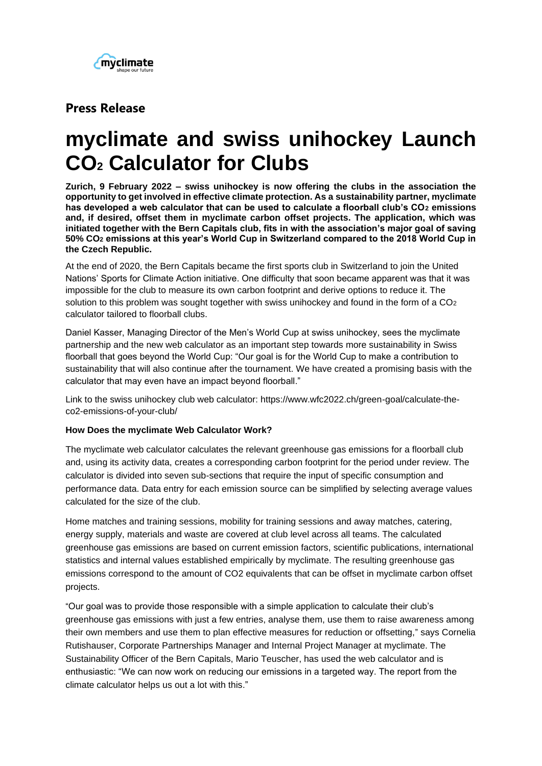

## **Press Release**

# **myclimate and swiss unihockey Launch CO<sup>2</sup> Calculator for Clubs**

**Zurich, 9 February 2022 – swiss unihockey is now offering the clubs in the association the opportunity to get involved in effective climate protection. As a sustainability partner, myclimate has developed a web calculator that can be used to calculate a floorball club's CO<sup>2</sup> emissions and, if desired, offset them in myclimate carbon offset projects. The application, which was initiated together with the Bern Capitals club, fits in with the association's major goal of saving 50% CO<sup>2</sup> emissions at this year's World Cup in Switzerland compared to the 2018 World Cup in the Czech Republic.** 

At the end of 2020, the Bern Capitals became the first sports club in Switzerland to join the United Nations' Sports for Climate Action initiative. One difficulty that soon became apparent was that it was impossible for the club to measure its own carbon footprint and derive options to reduce it. The solution to this problem was sought together with swiss unihockey and found in the form of a CO<sup>2</sup> calculator tailored to floorball clubs.

Daniel Kasser, Managing Director of the Men's World Cup at swiss unihockey, sees the myclimate partnership and the new web calculator as an important step towards more sustainability in Swiss floorball that goes beyond the World Cup: "Our goal is for the World Cup to make a contribution to sustainability that will also continue after the tournament. We have created a promising basis with the calculator that may even have an impact beyond floorball."

Link to the swiss unihockey club web calculator: https://www.wfc2022.ch/green-goal/calculate-theco2-emissions-of-your-club/

#### **How Does the myclimate Web Calculator Work?**

The myclimate web calculator calculates the relevant greenhouse gas emissions for a floorball club and, using its activity data, creates a corresponding carbon footprint for the period under review. The calculator is divided into seven sub-sections that require the input of specific consumption and performance data. Data entry for each emission source can be simplified by selecting average values calculated for the size of the club.

Home matches and training sessions, mobility for training sessions and away matches, catering, energy supply, materials and waste are covered at club level across all teams. The calculated greenhouse gas emissions are based on current emission factors, scientific publications, international statistics and internal values established empirically by myclimate. The resulting greenhouse gas emissions correspond to the amount of CO2 equivalents that can be offset in myclimate carbon offset projects.

"Our goal was to provide those responsible with a simple application to calculate their club's greenhouse gas emissions with just a few entries, analyse them, use them to raise awareness among their own members and use them to plan effective measures for reduction or offsetting," says Cornelia Rutishauser, Corporate Partnerships Manager and Internal Project Manager at myclimate. The Sustainability Officer of the Bern Capitals, Mario Teuscher, has used the web calculator and is enthusiastic: "We can now work on reducing our emissions in a targeted way. The report from the climate calculator helps us out a lot with this."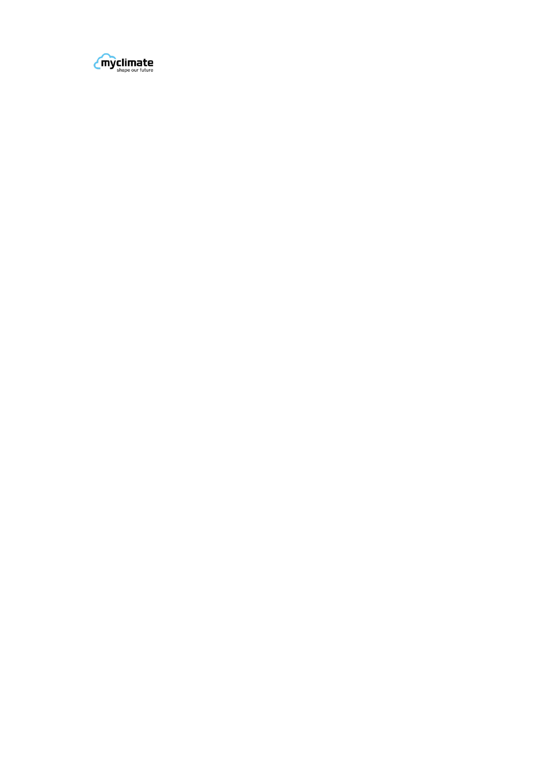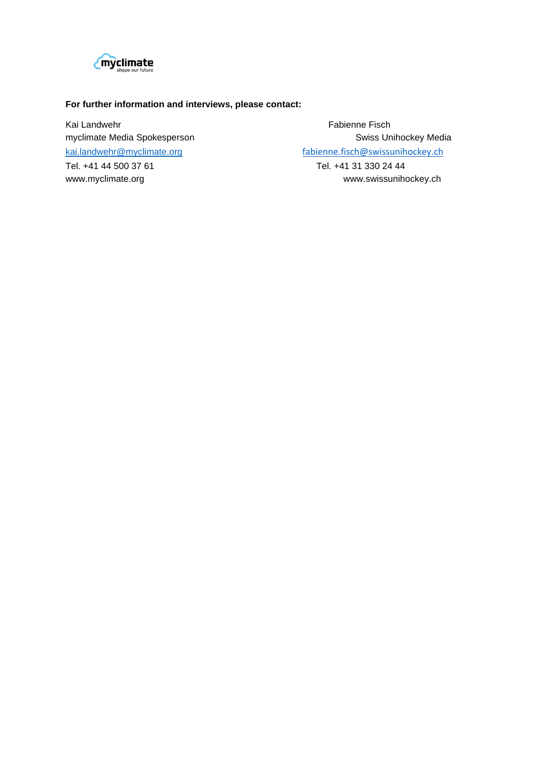

### **For further information and interviews, please contact:**

Kai Landwehr Fisch Fabienne Fisch Tel. +41 44 500 37 61 Tel. +41 31 330 24 44 www.myclimate.org www.swissunihockey.ch

myclimate Media Spokesperson Swiss Unihockey Media [kai.landwehr@myclimate.org](mailto:kai.landwehr@myclimate.org) [fabienne.fisch@swissunihockey.ch](mailto:fabienne.fisch@swissunihockey.ch)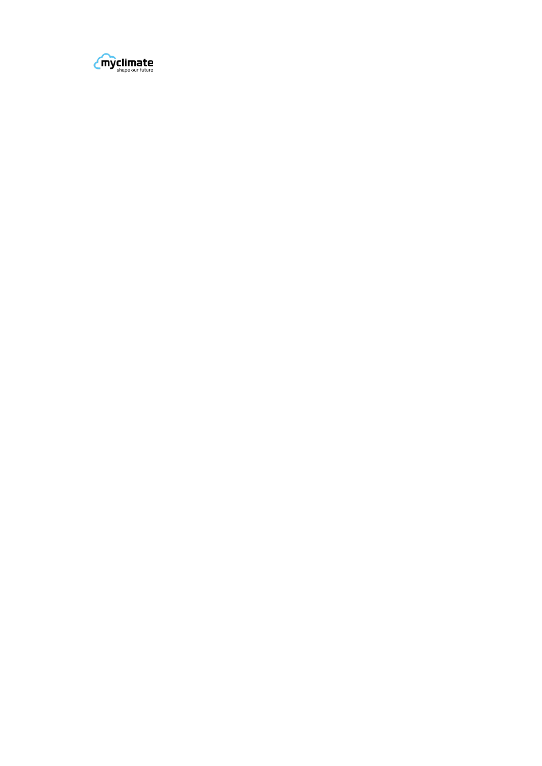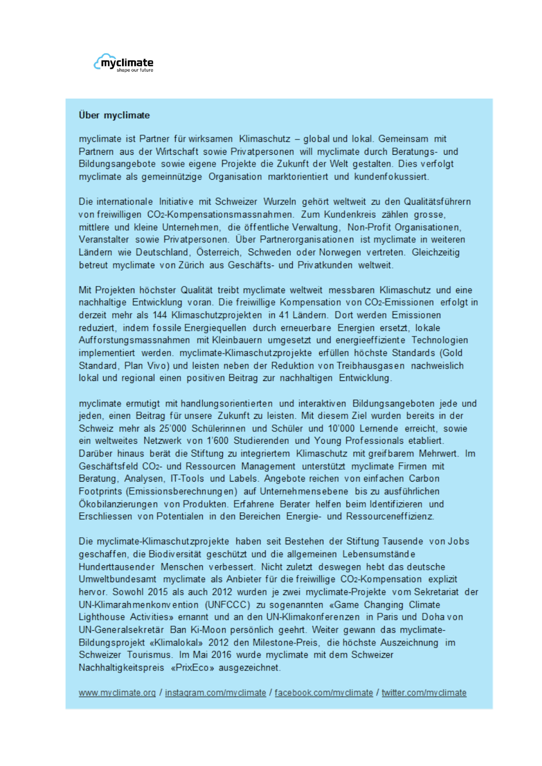

#### Über myclimate

myclimate ist Partner für wirksamen Klimaschutz - global und lokal. Gemeinsam mit Partnern aus der Wirtschaft sowie Privatpersonen will myclimate durch Beratungs- und Bildungsangebote sowie eigene Projekte die Zukunft der Welt gestalten. Dies verfolgt myclimate als gemeinnützige Organisation marktorientiert und kundenfokussiert.

Die internationale Initiative mit Schweizer Wurzeln gehört weltweit zu den Qualitätsführern von freiwilligen CO2-Kompensationsmassnahmen. Zum Kundenkreis zählen grosse. mittlere und kleine Unternehmen, die öffentliche Verwaltung. Non-Profit Organisationen. Veranstalter sowie Privatpersonen. Über Partnerorganisationen ist myclimate in weiteren Ländern wie Deutschland, Österreich, Schweden oder Norwegen vertreten. Gleichzeitig betreut myclimate von Zürich aus Geschäfts- und Privatkunden weltweit.

Mit Projekten höchster Qualität treibt myclimate weltweit messbaren Klimaschutz und eine nachhaltige Entwicklung voran. Die freiwillige Kompensation von CO2-Emissionen erfolgt in derzeit mehr als 144 Klimaschutzprojekten in 41 Ländern. Dort werden Emissionen reduziert, indem fossile Energieguellen durch erneuerbare Energien ersetzt, lokale Aufforstungsmassnahmen mit Kleinbauern umgesetzt und energieeffiziente Technologien implementiert werden, myclimate-Klimaschutzprojekte erfüllen höchste Standards (Gold Standard, Plan Vivo) und leisten neben der Reduktion von Treibhausgasen nachweislich lokal und regional einen positiven Beitrag zur nachhaltigen Entwicklung.

myclimate ermutigt mit handlungsorientierten und interaktiven Bildungsangeboten jede und jeden, einen Beitrag für unsere Zukunft zu leisten. Mit diesem Ziel wurden bereits in der Schweiz mehr als 25'000 Schülerinnen und Schüler und 10'000 Lernende erreicht, sowie ein weltweites Netzwerk von 1'600 Studierenden und Young Professionals etabliert. Darüber hinaus berät die Stiftung zu integriertem Klimaschutz mit greifbarem Mehrwert. Im Geschäftsfeld CO<sub>2</sub>- und Ressourcen Management unterstützt myclimate Firmen mit Beratung, Analysen, IT-Tools und Labels. Angebote reichen von einfachen Carbon Footprints (Emissionsberechnungen) auf Unternehmensebene bis zu ausführlichen Ökobilanzierungen von Produkten. Erfahrene Berater helfen beim Identifizieren und Erschliessen von Potentialen in den Bereichen Energie- und Ressourceneffizienz.

Die myclimate-Klimaschutzprojekte haben seit Bestehen der Stiftung Tausende von Jobs geschaffen, die Biodiversität geschützt und die allgemeinen Lebensumstände Hunderttausender Menschen verbessert. Nicht zuletzt deswegen hebt das deutsche Umweltbundesamt myclimate als Anbieter für die freiwillige CO2-Kompensation explizit hervor. Sowohl 2015 als auch 2012 wurden je zwei myclimate-Projekte vom Sekretariat der UN-Klimarahmenkonvention (UNFCCC) zu sogenannten «Game Changing Climate Lighthouse Activities» ernannt und an den UN-Klimakonferenzen in Paris und Doha von UN-Generalsekretär Ban Ki-Moon persönlich geehrt. Weiter gewann das myclimate-Bildungsprojekt «Klimalokal» 2012 den Milestone-Preis, die höchste Auszeichnung im Schweizer Tourismus. Im Mai 2016 wurde myclimate mit dem Schweizer Nachhaltigkeitspreis «PrixEco» ausgezeichnet.

www.myclimate.org / instagram.com/myclimate / facebook.com/myclimate / twitter.com/myclimate